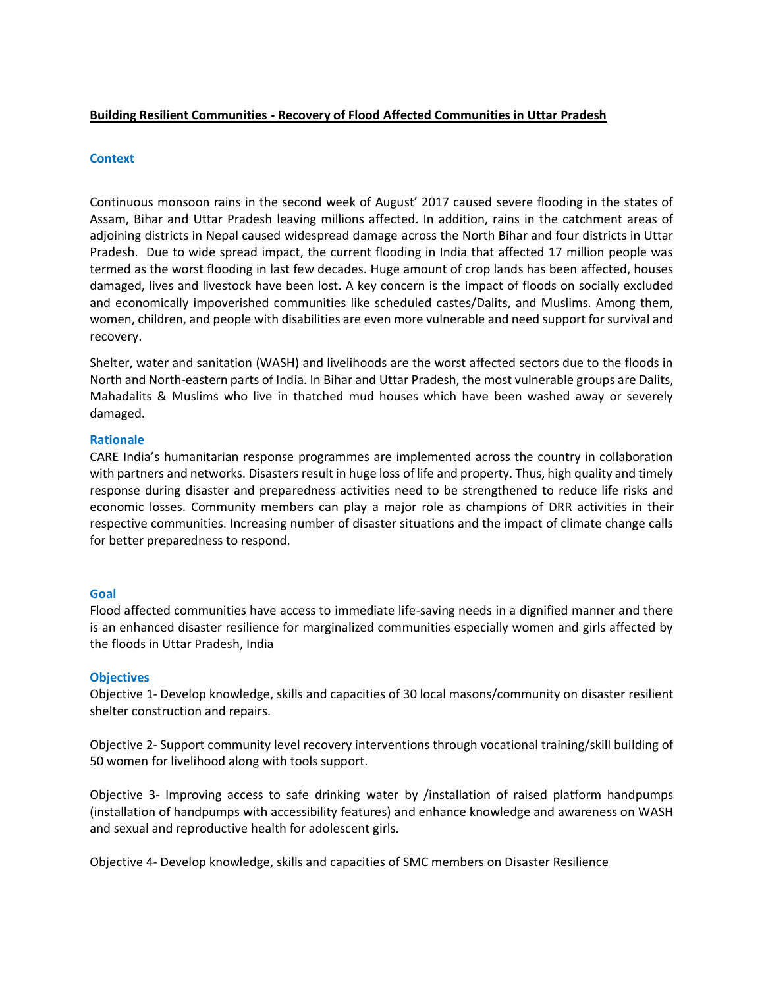# **Building Resilient Communities - Recovery of Flood Affected Communities in Uttar Pradesh**

### **Context**

Continuous monsoon rains in the second week of August' 2017 caused severe flooding in the states of Assam, Bihar and Uttar Pradesh leaving millions affected. In addition, rains in the catchment areas of adjoining districts in Nepal caused widespread damage across the North Bihar and four districts in Uttar Pradesh. Due to wide spread impact, the current flooding in India that affected 17 million people was termed as the worst flooding in last few decades. Huge amount of crop lands has been affected, houses damaged, lives and livestock have been lost. A key concern is the impact of floods on socially excluded and economically impoverished communities like scheduled castes/Dalits, and Muslims. Among them, women, children, and people with disabilities are even more vulnerable and need support for survival and recovery.

Shelter, water and sanitation (WASH) and livelihoods are the worst affected sectors due to the floods in North and North-eastern parts of India. In Bihar and Uttar Pradesh, the most vulnerable groups are Dalits, Mahadalits & Muslims who live in thatched mud houses which have been washed away or severely damaged.

### **Rationale**

CARE India's humanitarian response programmes are implemented across the country in collaboration with partners and networks. Disasters result in huge loss of life and property. Thus, high quality and timely response during disaster and preparedness activities need to be strengthened to reduce life risks and economic losses. Community members can play a major role as champions of DRR activities in their respective communities. Increasing number of disaster situations and the impact of climate change calls for better preparedness to respond.

### **Goal**

Flood affected communities have access to immediate life-saving needs in a dignified manner and there is an enhanced disaster resilience for marginalized communities especially women and girls affected by the floods in Uttar Pradesh, India

### **Objectives**

Objective 1- Develop knowledge, skills and capacities of 30 local masons/community on disaster resilient shelter construction and repairs.

Objective 2- Support community level recovery interventions through vocational training/skill building of 50 women for livelihood along with tools support.

Objective 3- Improving access to safe drinking water by /installation of raised platform handpumps (installation of handpumps with accessibility features) and enhance knowledge and awareness on WASH and sexual and reproductive health for adolescent girls.

Objective 4- Develop knowledge, skills and capacities of SMC members on Disaster Resilience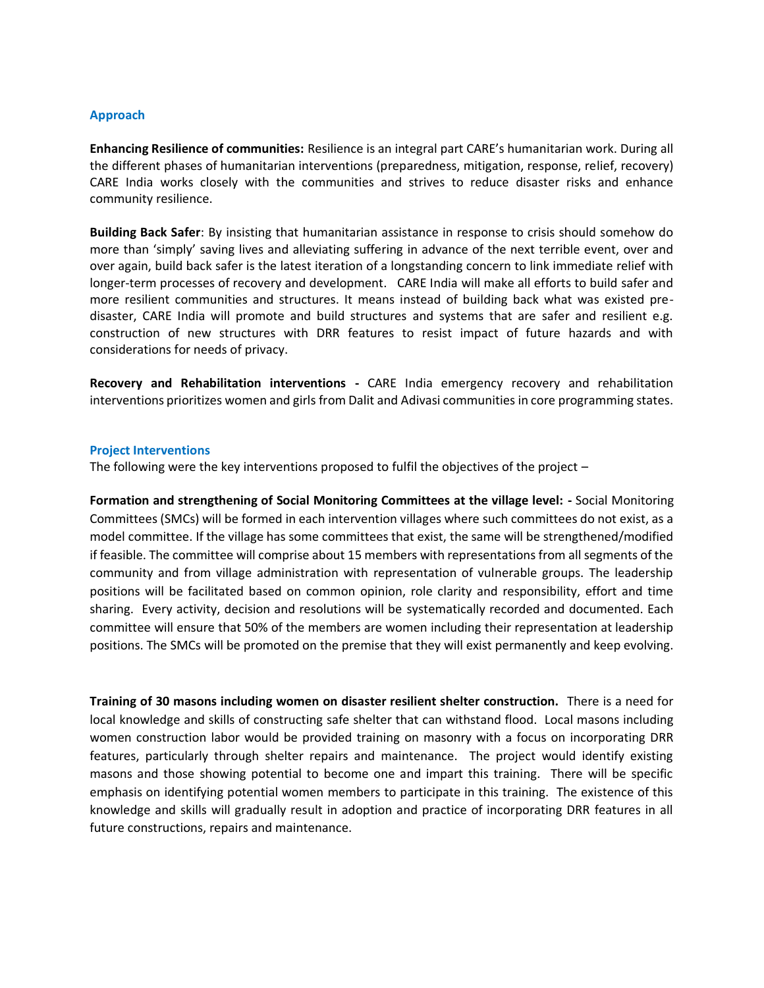### **Approach**

**Enhancing Resilience of communities:** Resilience is an integral part CARE's humanitarian work. During all the different phases of humanitarian interventions (preparedness, mitigation, response, relief, recovery) CARE India works closely with the communities and strives to reduce disaster risks and enhance community resilience.

**Building Back Safer**: By insisting that humanitarian assistance in response to crisis should somehow do more than 'simply' saving lives and alleviating suffering in advance of the next terrible event, over and over again, build back safer is the latest iteration of a longstanding concern to link immediate relief with longer-term processes of recovery and development. CARE India will make all efforts to build safer and more resilient communities and structures. It means instead of building back what was existed predisaster, CARE India will promote and build structures and systems that are safer and resilient e.g. construction of new structures with DRR features to resist impact of future hazards and with considerations for needs of privacy.

**Recovery and Rehabilitation interventions -** CARE India emergency recovery and rehabilitation interventions prioritizes women and girls from Dalit and Adivasi communities in core programming states.

#### **Project Interventions**

The following were the key interventions proposed to fulfil the objectives of the project –

**Formation and strengthening of Social Monitoring Committees at the village level: -** Social Monitoring Committees (SMCs) will be formed in each intervention villages where such committees do not exist, as a model committee. If the village has some committees that exist, the same will be strengthened/modified if feasible. The committee will comprise about 15 members with representations from all segments of the community and from village administration with representation of vulnerable groups. The leadership positions will be facilitated based on common opinion, role clarity and responsibility, effort and time sharing. Every activity, decision and resolutions will be systematically recorded and documented. Each committee will ensure that 50% of the members are women including their representation at leadership positions. The SMCs will be promoted on the premise that they will exist permanently and keep evolving.

**Training of 30 masons including women on disaster resilient shelter construction.** There is a need for local knowledge and skills of constructing safe shelter that can withstand flood. Local masons including women construction labor would be provided training on masonry with a focus on incorporating DRR features, particularly through shelter repairs and maintenance. The project would identify existing masons and those showing potential to become one and impart this training. There will be specific emphasis on identifying potential women members to participate in this training. The existence of this knowledge and skills will gradually result in adoption and practice of incorporating DRR features in all future constructions, repairs and maintenance.